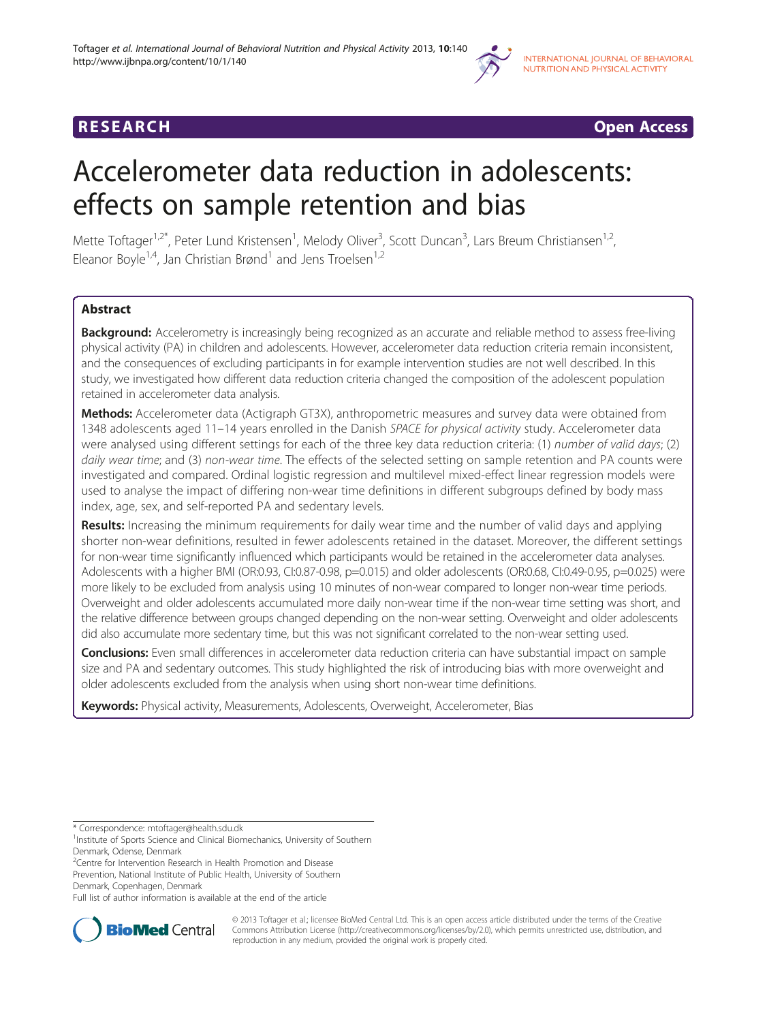



# Accelerometer data reduction in adolescents: effects on sample retention and bias

Mette Toftager<sup>1,2\*</sup>, Peter Lund Kristensen<sup>1</sup>, Melody Oliver<sup>3</sup>, Scott Duncan<sup>3</sup>, Lars Breum Christiansen<sup>1,2</sup>, Eleanor Boyle<sup>1,4</sup>, Jan Christian Brønd<sup>1</sup> and Jens Troelsen<sup>1,2</sup>

# Abstract

Background: Accelerometry is increasingly being recognized as an accurate and reliable method to assess free-living physical activity (PA) in children and adolescents. However, accelerometer data reduction criteria remain inconsistent, and the consequences of excluding participants in for example intervention studies are not well described. In this study, we investigated how different data reduction criteria changed the composition of the adolescent population retained in accelerometer data analysis.

Methods: Accelerometer data (Actigraph GT3X), anthropometric measures and survey data were obtained from 1348 adolescents aged 11-14 years enrolled in the Danish SPACE for physical activity study. Accelerometer data were analysed using different settings for each of the three key data reduction criteria: (1) number of valid days; (2) daily wear time; and (3) non-wear time. The effects of the selected setting on sample retention and PA counts were investigated and compared. Ordinal logistic regression and multilevel mixed-effect linear regression models were used to analyse the impact of differing non-wear time definitions in different subgroups defined by body mass index, age, sex, and self-reported PA and sedentary levels.

Results: Increasing the minimum requirements for daily wear time and the number of valid days and applying shorter non-wear definitions, resulted in fewer adolescents retained in the dataset. Moreover, the different settings for non-wear time significantly influenced which participants would be retained in the accelerometer data analyses. Adolescents with a higher BMI (OR:0.93, CI:0.87-0.98, p=0.015) and older adolescents (OR:0.68, CI:0.49-0.95, p=0.025) were more likely to be excluded from analysis using 10 minutes of non-wear compared to longer non-wear time periods. Overweight and older adolescents accumulated more daily non-wear time if the non-wear time setting was short, and the relative difference between groups changed depending on the non-wear setting. Overweight and older adolescents did also accumulate more sedentary time, but this was not significant correlated to the non-wear setting used.

Conclusions: Even small differences in accelerometer data reduction criteria can have substantial impact on sample size and PA and sedentary outcomes. This study highlighted the risk of introducing bias with more overweight and older adolescents excluded from the analysis when using short non-wear time definitions.

Keywords: Physical activity, Measurements, Adolescents, Overweight, Accelerometer, Bias

\* Correspondence: [mtoftager@health.sdu.dk](mailto:mtoftager@health.sdu.dk) <sup>1</sup>

<sup>1</sup> Institute of Sports Science and Clinical Biomechanics, University of Southern Denmark, Odense, Denmark

<sup>2</sup>Centre for Intervention Research in Health Promotion and Disease

Prevention, National Institute of Public Health, University of Southern Denmark, Copenhagen, Denmark

Full list of author information is available at the end of the article



© 2013 Toftager et al.; licensee BioMed Central Ltd. This is an open access article distributed under the terms of the Creative Commons Attribution License [\(http://creativecommons.org/licenses/by/2.0\)](http://creativecommons.org/licenses/by/2.0), which permits unrestricted use, distribution, and reproduction in any medium, provided the original work is properly cited.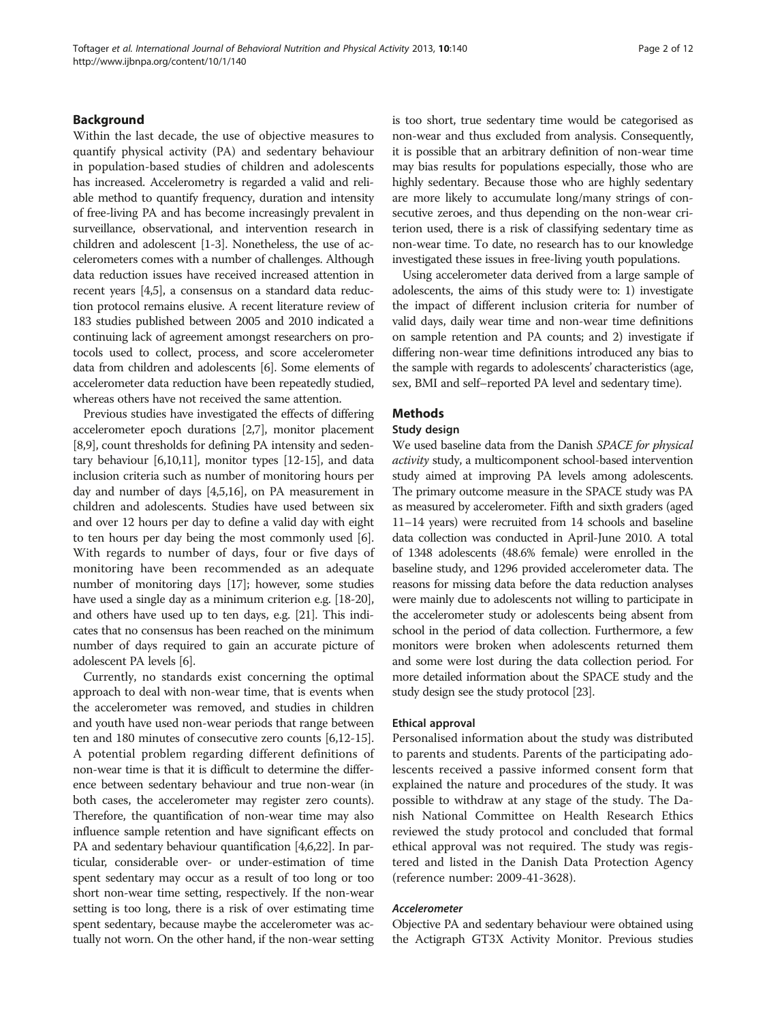# Background

Within the last decade, the use of objective measures to quantify physical activity (PA) and sedentary behaviour in population-based studies of children and adolescents has increased. Accelerometry is regarded a valid and reliable method to quantify frequency, duration and intensity of free-living PA and has become increasingly prevalent in surveillance, observational, and intervention research in children and adolescent [[1-3\]](#page-10-0). Nonetheless, the use of accelerometers comes with a number of challenges. Although data reduction issues have received increased attention in recent years [\[4,5](#page-10-0)], a consensus on a standard data reduction protocol remains elusive. A recent literature review of 183 studies published between 2005 and 2010 indicated a continuing lack of agreement amongst researchers on protocols used to collect, process, and score accelerometer data from children and adolescents [\[6\]](#page-10-0). Some elements of accelerometer data reduction have been repeatedly studied, whereas others have not received the same attention.

Previous studies have investigated the effects of differing accelerometer epoch durations [[2,7\]](#page-10-0), monitor placement [[8,9](#page-10-0)], count thresholds for defining PA intensity and sedentary behaviour [\[6,10,11](#page-10-0)], monitor types [\[12-15\]](#page-10-0), and data inclusion criteria such as number of monitoring hours per day and number of days [\[4,5,16](#page-10-0)], on PA measurement in children and adolescents. Studies have used between six and over 12 hours per day to define a valid day with eight to ten hours per day being the most commonly used [[6](#page-10-0)]. With regards to number of days, four or five days of monitoring have been recommended as an adequate number of monitoring days [\[17\]](#page-10-0); however, some studies have used a single day as a minimum criterion e.g. [\[18-20](#page-10-0)], and others have used up to ten days, e.g. [\[21\]](#page-10-0). This indicates that no consensus has been reached on the minimum number of days required to gain an accurate picture of adolescent PA levels [\[6\]](#page-10-0).

Currently, no standards exist concerning the optimal approach to deal with non-wear time, that is events when the accelerometer was removed, and studies in children and youth have used non-wear periods that range between ten and 180 minutes of consecutive zero counts [[6,12](#page-10-0)-[15](#page-10-0)]. A potential problem regarding different definitions of non-wear time is that it is difficult to determine the difference between sedentary behaviour and true non-wear (in both cases, the accelerometer may register zero counts). Therefore, the quantification of non-wear time may also influence sample retention and have significant effects on PA and sedentary behaviour quantification [[4,6,22\]](#page-10-0). In particular, considerable over- or under-estimation of time spent sedentary may occur as a result of too long or too short non-wear time setting, respectively. If the non-wear setting is too long, there is a risk of over estimating time spent sedentary, because maybe the accelerometer was actually not worn. On the other hand, if the non-wear setting is too short, true sedentary time would be categorised as non-wear and thus excluded from analysis. Consequently, it is possible that an arbitrary definition of non-wear time may bias results for populations especially, those who are highly sedentary. Because those who are highly sedentary are more likely to accumulate long/many strings of consecutive zeroes, and thus depending on the non-wear criterion used, there is a risk of classifying sedentary time as non-wear time. To date, no research has to our knowledge investigated these issues in free-living youth populations.

Using accelerometer data derived from a large sample of adolescents, the aims of this study were to: 1) investigate the impact of different inclusion criteria for number of valid days, daily wear time and non-wear time definitions on sample retention and PA counts; and 2) investigate if differing non-wear time definitions introduced any bias to the sample with regards to adolescents' characteristics (age, sex, BMI and self–reported PA level and sedentary time).

# **Methods**

# Study design

We used baseline data from the Danish SPACE for physical activity study, a multicomponent school-based intervention study aimed at improving PA levels among adolescents. The primary outcome measure in the SPACE study was PA as measured by accelerometer. Fifth and sixth graders (aged 11–14 years) were recruited from 14 schools and baseline data collection was conducted in April-June 2010. A total of 1348 adolescents (48.6% female) were enrolled in the baseline study, and 1296 provided accelerometer data. The reasons for missing data before the data reduction analyses were mainly due to adolescents not willing to participate in the accelerometer study or adolescents being absent from school in the period of data collection. Furthermore, a few monitors were broken when adolescents returned them and some were lost during the data collection period. For more detailed information about the SPACE study and the study design see the study protocol [[23\]](#page-10-0).

# Ethical approval

Personalised information about the study was distributed to parents and students. Parents of the participating adolescents received a passive informed consent form that explained the nature and procedures of the study. It was possible to withdraw at any stage of the study. The Danish National Committee on Health Research Ethics reviewed the study protocol and concluded that formal ethical approval was not required. The study was registered and listed in the Danish Data Protection Agency (reference number: 2009-41-3628).

## Accelerometer

Objective PA and sedentary behaviour were obtained using the Actigraph GT3X Activity Monitor. Previous studies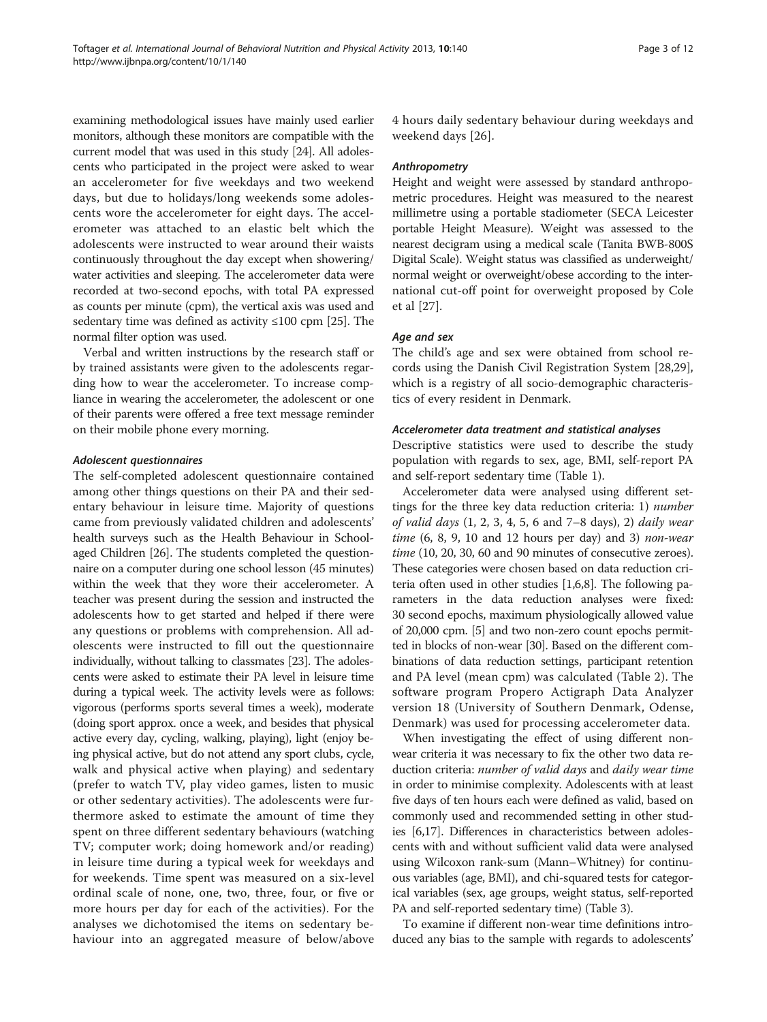examining methodological issues have mainly used earlier monitors, although these monitors are compatible with the current model that was used in this study [\[24](#page-10-0)]. All adolescents who participated in the project were asked to wear an accelerometer for five weekdays and two weekend days, but due to holidays/long weekends some adolescents wore the accelerometer for eight days. The accelerometer was attached to an elastic belt which the adolescents were instructed to wear around their waists continuously throughout the day except when showering/ water activities and sleeping. The accelerometer data were recorded at two-second epochs, with total PA expressed as counts per minute (cpm), the vertical axis was used and sedentary time was defined as activity  $\leq 100$  cpm [[25\]](#page-10-0). The normal filter option was used.

Verbal and written instructions by the research staff or by trained assistants were given to the adolescents regarding how to wear the accelerometer. To increase compliance in wearing the accelerometer, the adolescent or one of their parents were offered a free text message reminder on their mobile phone every morning.

# Adolescent questionnaires

The self-completed adolescent questionnaire contained among other things questions on their PA and their sedentary behaviour in leisure time. Majority of questions came from previously validated children and adolescents' health surveys such as the Health Behaviour in Schoolaged Children [\[26\]](#page-11-0). The students completed the questionnaire on a computer during one school lesson (45 minutes) within the week that they wore their accelerometer. A teacher was present during the session and instructed the adolescents how to get started and helped if there were any questions or problems with comprehension. All adolescents were instructed to fill out the questionnaire individually, without talking to classmates [[23](#page-10-0)]. The adolescents were asked to estimate their PA level in leisure time during a typical week. The activity levels were as follows: vigorous (performs sports several times a week), moderate (doing sport approx. once a week, and besides that physical active every day, cycling, walking, playing), light (enjoy being physical active, but do not attend any sport clubs, cycle, walk and physical active when playing) and sedentary (prefer to watch TV, play video games, listen to music or other sedentary activities). The adolescents were furthermore asked to estimate the amount of time they spent on three different sedentary behaviours (watching TV; computer work; doing homework and/or reading) in leisure time during a typical week for weekdays and for weekends. Time spent was measured on a six-level ordinal scale of none, one, two, three, four, or five or more hours per day for each of the activities). For the analyses we dichotomised the items on sedentary behaviour into an aggregated measure of below/above 4 hours daily sedentary behaviour during weekdays and weekend days [\[26](#page-11-0)].

# Anthropometry

Height and weight were assessed by standard anthropometric procedures. Height was measured to the nearest millimetre using a portable stadiometer (SECA Leicester portable Height Measure). Weight was assessed to the nearest decigram using a medical scale (Tanita BWB-800S Digital Scale). Weight status was classified as underweight/ normal weight or overweight/obese according to the international cut-off point for overweight proposed by Cole et al [\[27](#page-11-0)].

# Age and sex

The child's age and sex were obtained from school records using the Danish Civil Registration System [\[28,29](#page-11-0)], which is a registry of all socio-demographic characteristics of every resident in Denmark.

# Accelerometer data treatment and statistical analyses

Descriptive statistics were used to describe the study population with regards to sex, age, BMI, self-report PA and self-report sedentary time (Table [1](#page-3-0)).

Accelerometer data were analysed using different settings for the three key data reduction criteria: 1) number of valid days (1, 2, 3, 4, 5, 6 and 7–8 days), 2) daily wear time  $(6, 8, 9, 10$  and  $12$  hours per day) and  $3)$  non-wear time (10, 20, 30, 60 and 90 minutes of consecutive zeroes). These categories were chosen based on data reduction criteria often used in other studies [[1,6,8](#page-10-0)]. The following parameters in the data reduction analyses were fixed: 30 second epochs, maximum physiologically allowed value of 20,000 cpm. [\[5\]](#page-10-0) and two non-zero count epochs permitted in blocks of non-wear [\[30\]](#page-11-0). Based on the different combinations of data reduction settings, participant retention and PA level (mean cpm) was calculated (Table [2](#page-4-0)). The software program Propero Actigraph Data Analyzer version 18 (University of Southern Denmark, Odense, Denmark) was used for processing accelerometer data.

When investigating the effect of using different nonwear criteria it was necessary to fix the other two data reduction criteria: number of valid days and daily wear time in order to minimise complexity. Adolescents with at least five days of ten hours each were defined as valid, based on commonly used and recommended setting in other studies [[6,17](#page-10-0)]. Differences in characteristics between adolescents with and without sufficient valid data were analysed using Wilcoxon rank-sum (Mann–Whitney) for continuous variables (age, BMI), and chi-squared tests for categorical variables (sex, age groups, weight status, self-reported PA and self-reported sedentary time) (Table [3\)](#page-5-0).

To examine if different non-wear time definitions introduced any bias to the sample with regards to adolescents'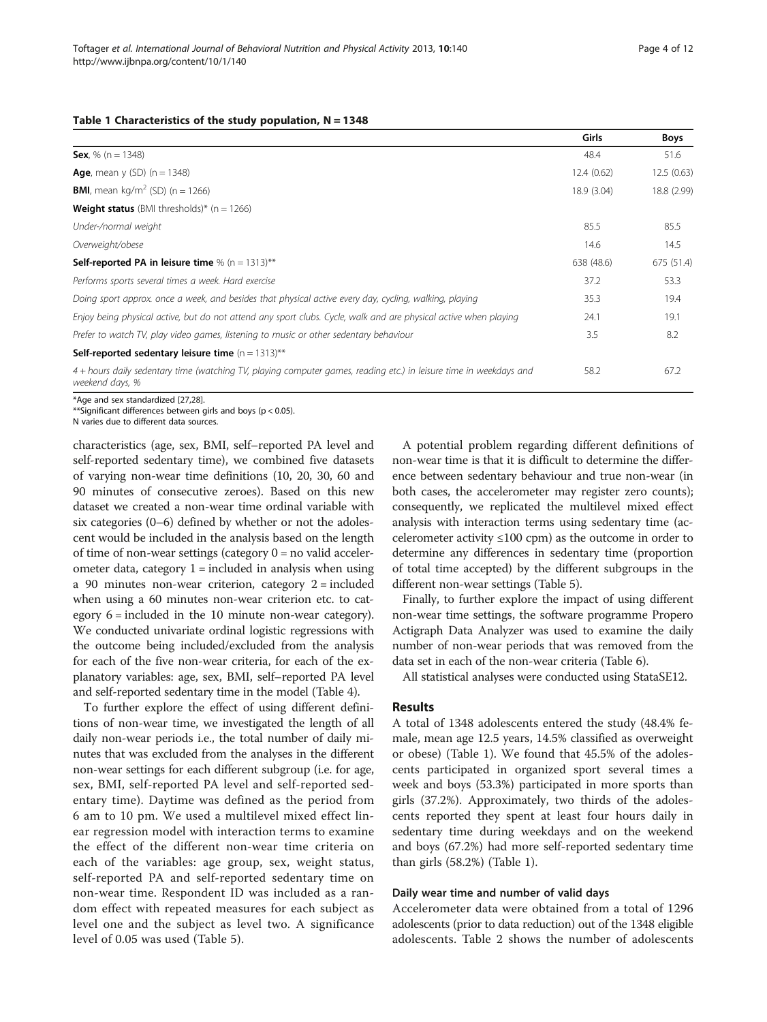#### <span id="page-3-0"></span>Table 1 Characteristics of the study population,  $N = 1348$

|                                                                                                                                       | Girls       | <b>Boys</b> |
|---------------------------------------------------------------------------------------------------------------------------------------|-------------|-------------|
| <b>Sex.</b> % (n = 1348)                                                                                                              | 48.4        | 51.6        |
| <b>Age,</b> mean y (SD) $(n = 1348)$                                                                                                  | 12.4(0.62)  | 12.5(0.63)  |
| <b>BMI</b> , mean kg/m <sup>2</sup> (SD) (n = 1266)                                                                                   | 18.9 (3.04) | 18.8 (2.99) |
| <b>Weight status</b> (BMI thresholds)* $(n = 1266)$                                                                                   |             |             |
| Under-/normal weight                                                                                                                  | 85.5        | 85.5        |
| Overweight/obese                                                                                                                      | 14.6        | 14.5        |
| <b>Self-reported PA in leisure time</b> % $(n = 1313)$ **                                                                             | 638 (48.6)  | 675 (51.4)  |
| Performs sports several times a week. Hard exercise                                                                                   | 37.2        | 53.3        |
| Doing sport approx, once a week, and besides that physical active every day, cycling, walking, playing                                | 35.3        | 19.4        |
| Enjoy being physical active, but do not attend any sport clubs. Cycle, walk and are physical active when playing                      | 24.1        | 19.1        |
| Prefer to watch TV, play video games, listening to music or other sedentary behaviour                                                 | 3.5         | 8.2         |
| <b>Self-reported sedentary leisure time</b> $(n = 1313)$ **                                                                           |             |             |
| 4 + hours daily sedentary time (watching TV, playing computer games, reading etc.) in leisure time in weekdays and<br>weekend days, % | 58.2        | 67.2        |

\*Age and sex standardized [\[27](#page-11-0),[28\]](#page-11-0).

\*\*Significant differences between girls and boys (p < 0.05).

N varies due to different data sources.

characteristics (age, sex, BMI, self–reported PA level and self-reported sedentary time), we combined five datasets of varying non-wear time definitions (10, 20, 30, 60 and 90 minutes of consecutive zeroes). Based on this new dataset we created a non-wear time ordinal variable with six categories (0–6) defined by whether or not the adolescent would be included in the analysis based on the length of time of non-wear settings (category  $0 =$  no valid accelerometer data, category  $1 =$  included in analysis when using a 90 minutes non-wear criterion, category 2 = included when using a 60 minutes non-wear criterion etc. to category 6 = included in the 10 minute non-wear category). We conducted univariate ordinal logistic regressions with the outcome being included/excluded from the analysis for each of the five non-wear criteria, for each of the explanatory variables: age, sex, BMI, self–reported PA level and self-reported sedentary time in the model (Table [4\)](#page-5-0).

To further explore the effect of using different definitions of non-wear time, we investigated the length of all daily non-wear periods i.e., the total number of daily minutes that was excluded from the analyses in the different non-wear settings for each different subgroup (i.e. for age, sex, BMI, self-reported PA level and self-reported sedentary time). Daytime was defined as the period from 6 am to 10 pm. We used a multilevel mixed effect linear regression model with interaction terms to examine the effect of the different non-wear time criteria on each of the variables: age group, sex, weight status, self-reported PA and self-reported sedentary time on non-wear time. Respondent ID was included as a random effect with repeated measures for each subject as level one and the subject as level two. A significance level of 0.05 was used (Table [5](#page-6-0)).

A potential problem regarding different definitions of non-wear time is that it is difficult to determine the difference between sedentary behaviour and true non-wear (in both cases, the accelerometer may register zero counts); consequently, we replicated the multilevel mixed effect analysis with interaction terms using sedentary time (accelerometer activity  $\leq 100$  cpm) as the outcome in order to determine any differences in sedentary time (proportion of total time accepted) by the different subgroups in the different non-wear settings (Table [5](#page-6-0)).

Finally, to further explore the impact of using different non-wear time settings, the software programme Propero Actigraph Data Analyzer was used to examine the daily number of non-wear periods that was removed from the data set in each of the non-wear criteria (Table [6\)](#page-7-0).

All statistical analyses were conducted using StataSE12.

# Results

A total of 1348 adolescents entered the study (48.4% female, mean age 12.5 years, 14.5% classified as overweight or obese) (Table 1). We found that 45.5% of the adolescents participated in organized sport several times a week and boys (53.3%) participated in more sports than girls (37.2%). Approximately, two thirds of the adolescents reported they spent at least four hours daily in sedentary time during weekdays and on the weekend and boys (67.2%) had more self-reported sedentary time than girls (58.2%) (Table 1).

## Daily wear time and number of valid days

Accelerometer data were obtained from a total of 1296 adolescents (prior to data reduction) out of the 1348 eligible adolescents. Table [2](#page-4-0) shows the number of adolescents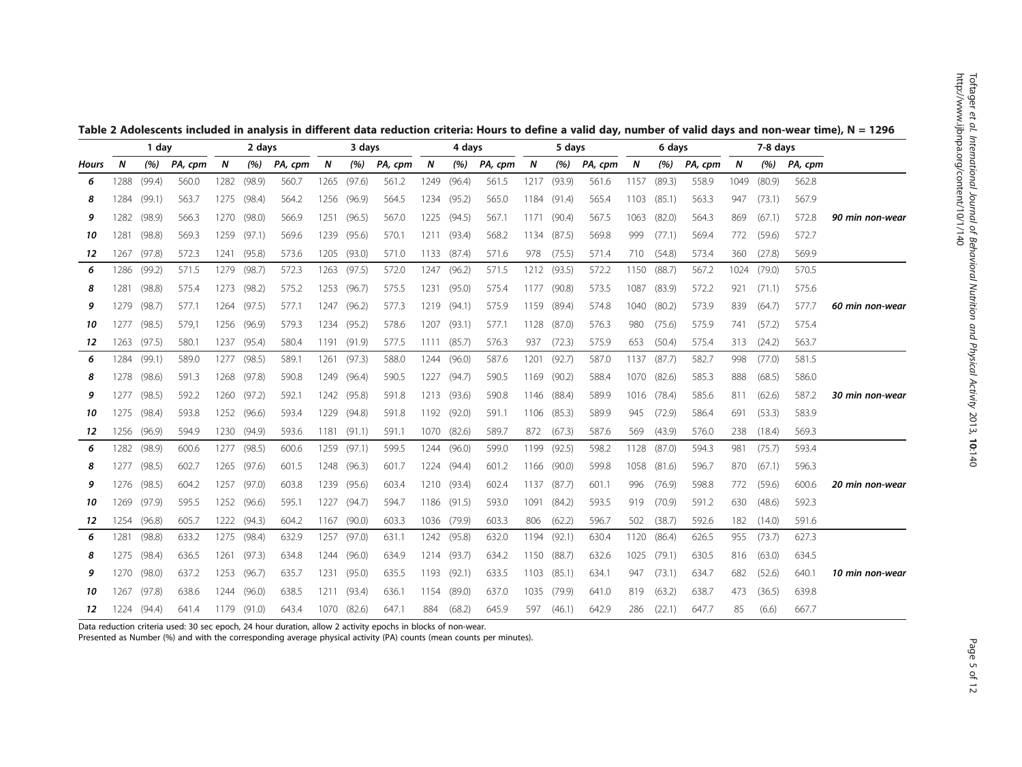|       |       | 1 day  |         |      | 2 days |         |      | 3 days |         |      | 4 days |         | 5 days |        |         |      | 6 days |         | 7-8 days |        |         |                 |
|-------|-------|--------|---------|------|--------|---------|------|--------|---------|------|--------|---------|--------|--------|---------|------|--------|---------|----------|--------|---------|-----------------|
| Hours | N     | (%)    | PA, cpm | N    | (%)    | PA, cpm | N    | (%)    | PA, cpm | N    | (%)    | PA, cpm | N      | (%)    | PA, cpm | N    | (%)    | PA, cpm | N        | (%)    | PA, cpm |                 |
| 6     | 1288  | (99.4) | 560.0   | 1282 | (98.9) | 560.7   | 1265 | (97.6) | 561.2   | 1249 | (96.4) | 561.5   | 1217   | (93.9) | 561.6   | 1157 | (89.3) | 558.9   | 1049     | (80.9) | 562.8   |                 |
| 8     | 1284  | (99.1) | 563.7   | 1275 | (98.4) | 564.2   | 1256 | (96.9) | 564.5   | 1234 | (95.2) | 565.0   | 1184   | (91.4) | 565.4   | 1103 | (85.1) | 563.3   | 947      | (73.1) | 567.9   |                 |
| 9     | 1282  | (98.9) | 566.3   | 1270 | (98.0) | 566.9   | 1251 | (96.5) | 567.0   | 1225 | (94.5) | 567.1   | 1171   | (90.4) | 567.5   | 1063 | (82.0) | 564.3   | 869      | (67.1) | 572.8   | 90 min non-wear |
| 10    | 1281  | (98.8) | 569.3   | 1259 | (97.1) | 569.6   | 1239 | (95.6) | 570.1   | 1211 | (93.4) | 568.2   | 1134   | (87.5) | 569.8   | 999  | (77.1) | 569.4   | 772      | (59.6) | 572.7   |                 |
| 12    | 1267  | (97.8) | 572.3   | 1241 | (95.8) | 573.6   | 1205 | (93.0) | 571.0   | 1133 | (87.4) | 571.6   | 978    | (75.5) | 571.4   | 710  | (54.8) | 573.4   | 360      | (27.8) | 569.9   |                 |
| 6     | 1286  | (99.2) | 571.5   | 1279 | (98.7) | 572.3   | 1263 | (97.5) | 572.0   | 1247 | (96.2) | 571.5   | 1212   | (93.5) | 572.2   | 1150 | (88.7) | 567.2   | 1024     | (79.0) | 570.5   |                 |
| 8     | 1281  | (98.8) | 575.4   | 1273 | (98.2) | 575.2   | 1253 | (96.7) | 575.5   | 1231 | (95.0) | 575.4   | 1177   | (90.8) | 573.5   | 1087 | (83.9) | 572.2   | 921      | (71.1) | 575.6   |                 |
| 9     | 1279  | (98.7) | 577.1   | 1264 | (97.5) | 577.1   | 1247 | (96.2) | 577.3   | 1219 | (94.1) | 575.9   | 1159   | (89.4) | 574.8   | 1040 | (80.2) | 573.9   | 839      | (64.7) | 577.7   | 60 min non-wear |
| 10    | 1277  | (98.5) | 579,    | 1256 | (96.9) | 579.3   | 1234 | (95.2) | 578.6   | 1207 | (93.1) | 577.1   | 1128   | (87.0) | 576.3   | 980  | (75.6) | 575.9   | 741      | (57.2) | 575.4   |                 |
| 12    | 1263  | (97.5) | 580.1   | 1237 | (95.4) | 580.4   | 1191 | (91.9) | 577.5   | 1111 | (85.7) | 576.3   | 937    | (72.3) | 575.9   | 653  | (50.4) | 575.4   | 313      | (24.2) | 563.7   |                 |
| 6     | 1284  | (99.1) | 589.C   | 1277 | (98.5) | 589.1   | 1261 | (97.3) | 588.0   | 1244 | (96.0) | 587.6   | 1201   | (92.7) | 587.0   | 1137 | (87.7) | 582.7   | 998      | (77.0) | 581.5   |                 |
| 8     | 1278. | (98.6) | 591.3   | 1268 | (97.8) | 590.8   | 1249 | (96.4) | 590.5   | 1227 | (94.7) | 590.5   | 1169   | (90.2) | 588.4   | 1070 | (82.6) | 585.3   | 888      | (68.5) | 586.0   |                 |
| 9     | 1277  | (98.5) | 592.2   | 1260 | (97.2) | 592.1   | 1242 | (95.8) | 591.8   | 1213 | (93.6) | 590.8   | 1146   | (88.4) | 589.9   | 1016 | (78.4) | 585.6   | 811      | (62.6) | 587.2   | 30 min non-wear |
| 10    | 1275  | (98.4) | 593.8   | 1252 | (96.6) | 593.4   | 1229 | (94.8) | 591.8   | 1192 | (92.0) | 591.1   | 1106   | (85.3) | 589.9   | 945  | (72.9) | 586.4   | 691      | (53.3) | 583.9   |                 |
| 12    | 1256  | (96.9) | 594.9   | 1230 | (94.9) | 593.6   | 1181 | (91.1) | 591.1   | 1070 | (82.6) | 589.7   | 872    | (67.3) | 587.6   | 569  | (43.9) | 576.0   | 238      | (18.4) | 569.3   |                 |
| 6     | 1282  | (98.9) | 600.6   | 1277 | (98.5) | 600.6   | 1259 | (97.1) | 599.5   | 1244 | (96.0) | 599.0   | 1199   | (92.5) | 598.2   | 1128 | (87.0) | 594.3   | 981      | (75.7) | 593.4   |                 |
| 8     | 1277  | (98.5) | 602.7   | 1265 | (97.6) | 601.5   | 1248 | (96.3) | 601.7   | 1224 | (94.4) | 601.2   | 1166   | (90.0) | 599.8   | 1058 | (81.6) | 596.7   | 870      | (67.1) | 596.3   |                 |
| 9     | 1276  | (98.5) | 604.2   | 1257 | (97.0) | 603.8   | 1239 | (95.6) | 603.4   | 1210 | (93.4) | 602.4   | 1137   | (87.7) | 601.1   | 996  | (76.9) | 598.8   | 772      | (59.6) | 600.6   | 20 min non-wear |
| 10    | 1269. | (97.9) | 595.5   | 1252 | (96.6) | 595.1   | 1227 | (94.7) | 594.7   | 1186 | (91.5) | 593.0   | 1091   | (84.2) | 593.5   | 919  | (70.9) | 591.2   | 630      | (48.6) | 592.3   |                 |
| 12    | 1254  | (96.8) | 605.7   | 1222 | (94.3) | 604.2   | 1167 | (90.0) | 603.3   | 1036 | (79.9) | 603.3   | 806    | (62.2) | 596.7   | 502  | (38.7) | 592.6   | 182      | (14.0) | 591.6   |                 |
| 6     | 1281. | (98.8) | 633.2   | 1275 | (98.4) | 632.9   | 1257 | (97.0) | 631.1   | 1242 | (95.8) | 632.0   | 1194   | (92.1) | 630.4   | 1120 | (86.4) | 626.5   | 955      | (73.7) | 627.3   |                 |
| 8     | 1275  | (98.4) | 636.5   | 1261 | (97.3) | 634.8   | 1244 | (96.0) | 634.9   | 1214 | (93.7) | 634.2   | 1150   | (88.7) | 632.6   | 1025 | (79.1) | 630.5   | 816      | (63.0) | 634.5   |                 |
| 9     | 1270  | (98.0) | 637.2   | 1253 | (96.7) | 635.7   | 1231 | (95.0) | 635.5   | 1193 | (92.1) | 633.5   | 1103   | (85.1) | 634.1   | 947  | (73.1) | 634.7   | 682      | (52.6) | 640.1   | 10 min non-wear |
| 10    | 1267  | (97.8) | 638.6   | 1244 | (96.0) | 638.5   | 1211 | (93.4) | 636.1   | 1154 | (89.0) | 637.0   | 1035   | (79.9) | 641.0   | 819  | (63.2) | 638.7   | 473      | (36.5) | 639.8   |                 |
| 12    | 1224  | (94.4) | 641.4   | 1179 | (91.0) | 643.4   | 1070 | (82.6) | 647.1   | 884  | (68.2) | 645.9   | 597    | (46.1) | 642.9   | 286  | (22.1) | 647.7   | 85       | (6.6)  | 667.7   |                 |

<span id="page-4-0"></span>Table 2 Adolescents included in analysis in different data reduction criteria: Hours to define a valid day, number of valid days and non-wear time), N = 1296

Data reduction criteria used: 30 sec epoch, 24 hour duration, allow 2 activity epochs in blocks of non-wear.

Presented as Number (%) and with the corresponding average physical activity (PA) counts (mean counts per minutes).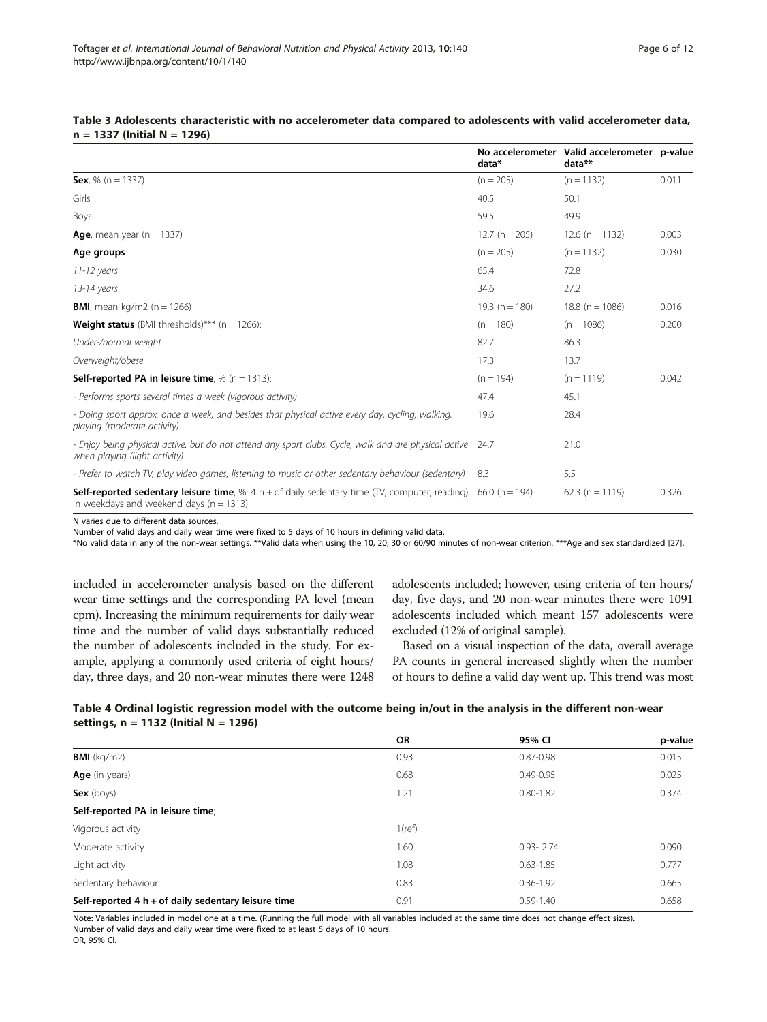p-value

|                                                                                                                                                                    | data*              | No accelerometer Valid accelerometer p-value<br>data** |       |
|--------------------------------------------------------------------------------------------------------------------------------------------------------------------|--------------------|--------------------------------------------------------|-------|
| <b>Sex</b> , % ( $n = 1337$ )                                                                                                                                      | $(n = 205)$        | $(n = 1132)$                                           | 0.011 |
| Girls                                                                                                                                                              | 40.5               | 50.1                                                   |       |
| Boys                                                                                                                                                               | 59.5               | 49.9                                                   |       |
| Age, mean year $(n = 1337)$                                                                                                                                        | $12.7(n = 205)$    | $12.6$ (n = 1132)                                      | 0.003 |
| Age groups                                                                                                                                                         | $(n = 205)$        | $(n = 1132)$                                           | 0.030 |
| $11-12$ years                                                                                                                                                      | 65.4               | 72.8                                                   |       |
| 13-14 years                                                                                                                                                        | 34.6               | 27.2                                                   |       |
| <b>BMI</b> , mean kg/m2 ( $n = 1266$ )                                                                                                                             | 19.3 ( $n = 180$ ) | $18.8(n = 1086)$                                       | 0.016 |
| <b>Weight status</b> (BMI thresholds)*** ( $n = 1266$ ):                                                                                                           | $(n = 180)$        | $(n = 1086)$                                           | 0.200 |
| Under-/normal weight                                                                                                                                               | 82.7               | 86.3                                                   |       |
| Overweight/obese                                                                                                                                                   | 17.3               | 13.7                                                   |       |
| <b>Self-reported PA in leisure time.</b> % $(n = 1313)$ :                                                                                                          | $(n = 194)$        | $(n = 1119)$                                           | 0.042 |
| - Performs sports several times a week (vigorous activity)                                                                                                         | 47.4               | 45.1                                                   |       |
| - Doing sport approx, once a week, and besides that physical active every day, cycling, walking,<br>playing (moderate activity)                                    | 19.6               | 28.4                                                   |       |
| - Enjoy being physical active, but do not attend any sport clubs. Cycle, walk and are physical active<br>when playing (light activity)                             | 24.7               | 21.0                                                   |       |
| - Prefer to watch TV, play video games, listening to music or other sedentary behaviour (sedentary)                                                                | 8.3                | 5.5                                                    |       |
| <b>Self-reported sedentary leisure time</b> , %: 4 h + of daily sedentary time (TV, computer, reading) 66.0 (n = 194)<br>in weekdays and weekend days $(n = 1313)$ |                    | $62.3$ (n = 1119)                                      | 0.326 |

# <span id="page-5-0"></span>Table 3 Adolescents characteristic with no accelerometer data compared to adolescents with valid accelerometer data, n = 1337 (Initial N = 1296)

N varies due to different data sources.

Number of valid days and daily wear time were fixed to 5 days of 10 hours in defining valid data.

\*No valid data in any of the non-wear settings. \*\*Valid data when using the 10, 20, 30 or 60/90 minutes of non-wear criterion. \*\*\*Age and sex standardized [[27\]](#page-11-0).

included in accelerometer analysis based on the different wear time settings and the corresponding PA level (mean cpm). Increasing the minimum requirements for daily wear time and the number of valid days substantially reduced the number of adolescents included in the study. For example, applying a commonly used criteria of eight hours/ day, three days, and 20 non-wear minutes there were 1248

adolescents included; however, using criteria of ten hours/ day, five days, and 20 non-wear minutes there were 1091 adolescents included which meant 157 adolescents were excluded (12% of original sample).

Based on a visual inspection of the data, overall average PA counts in general increased slightly when the number of hours to define a valid day went up. This trend was most

| Table 4 Ordinal logistic regression model with the outcome being in/out in the analysis in the different non-wear |
|-------------------------------------------------------------------------------------------------------------------|
| settings, $n = 1132$ (Initial N = 1296)                                                                           |

|                                                       | OR        | 95% CI        | p-value |
|-------------------------------------------------------|-----------|---------------|---------|
| <b>BMI</b> ( $kg/m2$ )                                | 0.93      | $0.87 - 0.98$ | 0.015   |
| Age (in years)                                        | 0.68      | $0.49 - 0.95$ | 0.025   |
| $Sex$ (boys)                                          | 1.21      | $0.80 - 1.82$ | 0.374   |
| Self-reported PA in leisure time;                     |           |               |         |
| Vigorous activity                                     | $1$ (ref) |               |         |
| Moderate activity                                     | 1.60      | $0.93 - 2.74$ | 0.090   |
| Light activity                                        | 1.08      | $0.63 - 1.85$ | 0.777   |
| Sedentary behaviour                                   | 0.83      | $0.36 - 1.92$ | 0.665   |
| Self-reported 4 $h + of$ daily sedentary leisure time | 0.91      | $0.59 - 1.40$ | 0.658   |

Note: Variables included in model one at a time. (Running the full model with all variables included at the same time does not change effect sizes). Number of valid days and daily wear time were fixed to at least 5 days of 10 hours.

OR, 95% CI.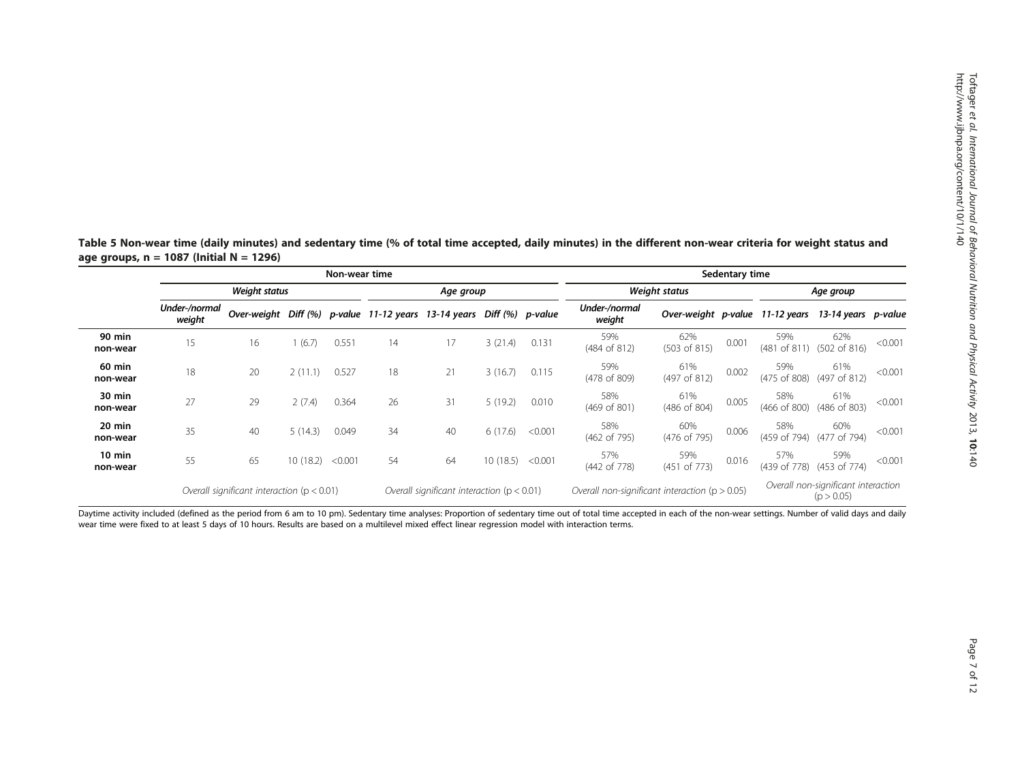|                              |                         |                                                |           | Non-wear time                                  |                                                                       | Sedentary time |                                                    |                                                   |                         |                                |       |                                 |                     |         |
|------------------------------|-------------------------|------------------------------------------------|-----------|------------------------------------------------|-----------------------------------------------------------------------|----------------|----------------------------------------------------|---------------------------------------------------|-------------------------|--------------------------------|-------|---------------------------------|---------------------|---------|
|                              |                         | Weight status                                  | Age group |                                                |                                                                       |                | Weight status                                      | Age group                                         |                         |                                |       |                                 |                     |         |
|                              | Under-/normal<br>weight |                                                |           |                                                | Over-weight Diff (%) p-value 11-12 years 13-14 years Diff (%) p-value |                |                                                    |                                                   | Under-/normal<br>weight |                                |       | Over-weight p-value 11-12 years | 13-14 years p-value |         |
| <b>90 min</b><br>non-wear    | 15                      | 16                                             | (6.7)     | 0.551                                          | 14                                                                    | 17             | 3(21.4)                                            | 0.131                                             | 59%<br>(484 of 812)     | 62%<br>$(503 \text{ of } 815)$ | 0.001 | 59%<br>(481 of 811)             | 62%<br>(502 of 816) | < 0.001 |
| 60 min<br>non-wear           | 18                      | 20                                             | 2(11.1)   | 0.527                                          | 18                                                                    | 21             | 3(16.7)                                            | 0.115                                             | 59%<br>(478 of 809)     | 61%<br>(497 of 812)            | 0.002 | 59%<br>(475 of 808)             | 61%<br>(497 of 812) | < 0.001 |
| 30 min<br>non-wear           | 27                      | 29                                             | 2(7.4)    | 0.364                                          | 26                                                                    | 31             | 5(19.2)                                            | 0.010                                             | 58%<br>(469 of 801)     | 61%<br>(486 of 804)            | 0.005 | 58%<br>(466 of 800)             | 61%<br>(486 of 803) | < 0.001 |
| 20 min<br>non-wear           | 35                      | 40                                             | 5(14.3)   | 0.049                                          | 34                                                                    | 40             | 6(17.6)                                            | < 0.001                                           | 58%<br>(462 of 795)     | 60%<br>(476 of 795)            | 0.006 | 58%<br>(459 of 794)             | 60%<br>(477 of 794) | < 0.001 |
| $10 \text{ min}$<br>non-wear | 55                      | 65                                             | 10(18.2)  | < 0.001                                        | 54                                                                    | 64             | 10(18.5)                                           | < 0.001                                           | 57%<br>(442 of 778)     | 59%<br>(451 of 773)            | 0.016 | 57%<br>(439 of 778)             | 59%<br>(453 of 774) | < 0.001 |
|                              |                         | Overall significant interaction ( $p < 0.01$ ) |           | Overall significant interaction ( $p < 0.01$ ) |                                                                       |                | Overall non-significant interaction ( $p > 0.05$ ) | Overall non-significant interaction<br>(p > 0.05) |                         |                                |       |                                 |                     |         |

<span id="page-6-0"></span>Table 5 Non-wear time (daily minutes) and sedentary time (% of total time accepted, daily minutes) in the different non-wear criteria for weight status and age groups,  $n = 1087$  (Initial  $N = 1296$ )

Daytime activity included (defined as the period from 6 am to 10 pm). Sedentary time analyses: Proportion of sedentary time out of total time accepted in each of the non-wear settings. Number of valid days and daily wear time were fixed to at least 5 days of 10 hours. Results are based on a multilevel mixed effect linear regression model with interaction terms.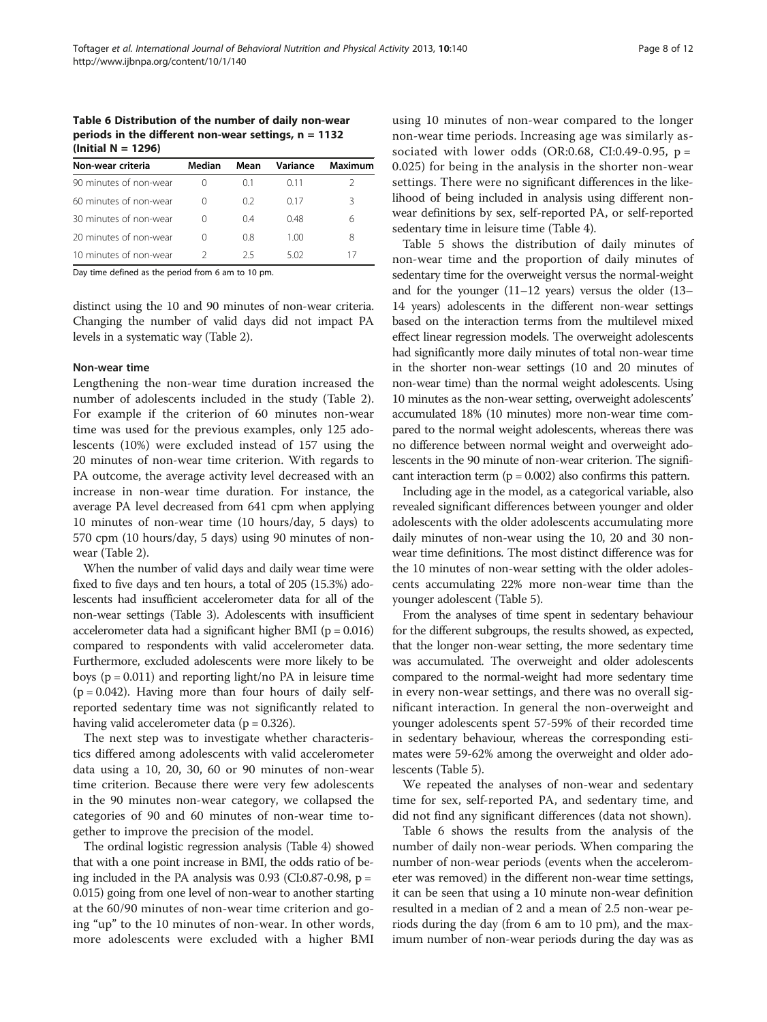<span id="page-7-0"></span>Table 6 Distribution of the number of daily non-wear periods in the different non-wear settings,  $n = 1132$ (Initial N = 1296)

| Non-wear criteria      | Median           | Mean | Variance | Maximum |
|------------------------|------------------|------|----------|---------|
| 90 minutes of non-wear |                  | () 1 | 0.11     |         |
| 60 minutes of non-wear | $\left( \right)$ | 02   | 0.17     | Β       |
| 30 minutes of non-wear | $\left( \right)$ | 04   | 0.48     | 6       |
| 20 minutes of non-wear | $\left( \right)$ | 08   | 1.00     | 8       |
| 10 minutes of non-wear |                  | 25   | 5.02     |         |

Day time defined as the period from 6 am to 10 pm.

distinct using the 10 and 90 minutes of non-wear criteria. Changing the number of valid days did not impact PA levels in a systematic way (Table [2](#page-4-0)).

### Non-wear time

Lengthening the non-wear time duration increased the number of adolescents included in the study (Table [2](#page-4-0)). For example if the criterion of 60 minutes non-wear time was used for the previous examples, only 125 adolescents (10%) were excluded instead of 157 using the 20 minutes of non-wear time criterion. With regards to PA outcome, the average activity level decreased with an increase in non-wear time duration. For instance, the average PA level decreased from 641 cpm when applying 10 minutes of non-wear time (10 hours/day, 5 days) to 570 cpm (10 hours/day, 5 days) using 90 minutes of nonwear (Table [2\)](#page-4-0).

When the number of valid days and daily wear time were fixed to five days and ten hours, a total of 205 (15.3%) adolescents had insufficient accelerometer data for all of the non-wear settings (Table [3](#page-5-0)). Adolescents with insufficient accelerometer data had a significant higher BMI ( $p = 0.016$ ) compared to respondents with valid accelerometer data. Furthermore, excluded adolescents were more likely to be boys ( $p = 0.011$ ) and reporting light/no PA in leisure time  $(p = 0.042)$ . Having more than four hours of daily selfreported sedentary time was not significantly related to having valid accelerometer data ( $p = 0.326$ ).

The next step was to investigate whether characteristics differed among adolescents with valid accelerometer data using a 10, 20, 30, 60 or 90 minutes of non-wear time criterion. Because there were very few adolescents in the 90 minutes non-wear category, we collapsed the categories of 90 and 60 minutes of non-wear time together to improve the precision of the model.

The ordinal logistic regression analysis (Table [4](#page-5-0)) showed that with a one point increase in BMI, the odds ratio of being included in the PA analysis was  $0.93$  (CI:0.87-0.98, p = 0.015) going from one level of non-wear to another starting at the 60/90 minutes of non-wear time criterion and going "up" to the 10 minutes of non-wear. In other words, more adolescents were excluded with a higher BMI

using 10 minutes of non-wear compared to the longer non-wear time periods. Increasing age was similarly associated with lower odds (OR:0.68, CI:0.49-0.95,  $p =$ 0.025) for being in the analysis in the shorter non-wear settings. There were no significant differences in the likelihood of being included in analysis using different nonwear definitions by sex, self-reported PA, or self-reported sedentary time in leisure time (Table [4](#page-5-0)).

Table [5](#page-6-0) shows the distribution of daily minutes of non-wear time and the proportion of daily minutes of sedentary time for the overweight versus the normal-weight and for the younger (11–12 years) versus the older (13– 14 years) adolescents in the different non-wear settings based on the interaction terms from the multilevel mixed effect linear regression models. The overweight adolescents had significantly more daily minutes of total non-wear time in the shorter non-wear settings (10 and 20 minutes of non-wear time) than the normal weight adolescents. Using 10 minutes as the non-wear setting, overweight adolescents' accumulated 18% (10 minutes) more non-wear time compared to the normal weight adolescents, whereas there was no difference between normal weight and overweight adolescents in the 90 minute of non-wear criterion. The significant interaction term ( $p = 0.002$ ) also confirms this pattern.

Including age in the model, as a categorical variable, also revealed significant differences between younger and older adolescents with the older adolescents accumulating more daily minutes of non-wear using the 10, 20 and 30 nonwear time definitions. The most distinct difference was for the 10 minutes of non-wear setting with the older adolescents accumulating 22% more non-wear time than the younger adolescent (Table [5\)](#page-6-0).

From the analyses of time spent in sedentary behaviour for the different subgroups, the results showed, as expected, that the longer non-wear setting, the more sedentary time was accumulated. The overweight and older adolescents compared to the normal-weight had more sedentary time in every non-wear settings, and there was no overall significant interaction. In general the non-overweight and younger adolescents spent 57-59% of their recorded time in sedentary behaviour, whereas the corresponding estimates were 59-62% among the overweight and older adolescents (Table [5](#page-6-0)).

We repeated the analyses of non-wear and sedentary time for sex, self-reported PA, and sedentary time, and did not find any significant differences (data not shown).

Table 6 shows the results from the analysis of the number of daily non-wear periods. When comparing the number of non-wear periods (events when the accelerometer was removed) in the different non-wear time settings, it can be seen that using a 10 minute non-wear definition resulted in a median of 2 and a mean of 2.5 non-wear periods during the day (from 6 am to 10 pm), and the maximum number of non-wear periods during the day was as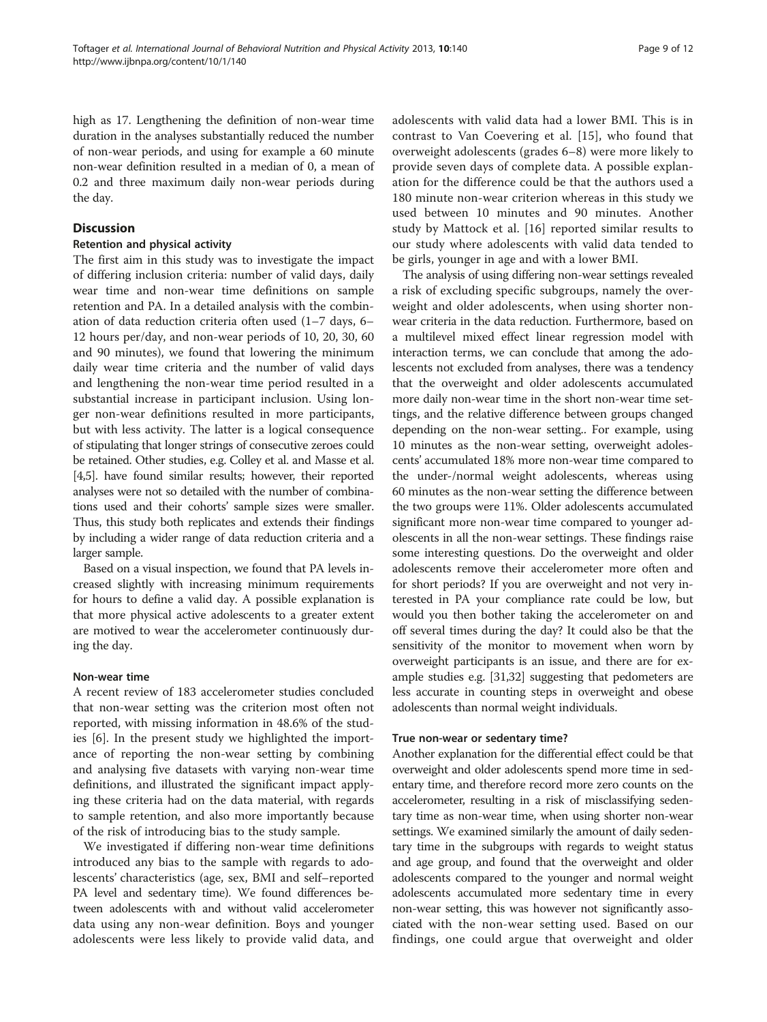high as 17. Lengthening the definition of non-wear time duration in the analyses substantially reduced the number of non-wear periods, and using for example a 60 minute non-wear definition resulted in a median of 0, a mean of 0.2 and three maximum daily non-wear periods during the day.

# **Discussion**

# Retention and physical activity

The first aim in this study was to investigate the impact of differing inclusion criteria: number of valid days, daily wear time and non-wear time definitions on sample retention and PA. In a detailed analysis with the combination of data reduction criteria often used (1–7 days, 6– 12 hours per/day, and non-wear periods of 10, 20, 30, 60 and 90 minutes), we found that lowering the minimum daily wear time criteria and the number of valid days and lengthening the non-wear time period resulted in a substantial increase in participant inclusion. Using longer non-wear definitions resulted in more participants, but with less activity. The latter is a logical consequence of stipulating that longer strings of consecutive zeroes could be retained. Other studies, e.g. Colley et al. and Masse et al. [[4,5](#page-10-0)]. have found similar results; however, their reported analyses were not so detailed with the number of combinations used and their cohorts' sample sizes were smaller. Thus, this study both replicates and extends their findings by including a wider range of data reduction criteria and a larger sample.

Based on a visual inspection, we found that PA levels increased slightly with increasing minimum requirements for hours to define a valid day. A possible explanation is that more physical active adolescents to a greater extent are motived to wear the accelerometer continuously during the day.

# Non-wear time

A recent review of 183 accelerometer studies concluded that non-wear setting was the criterion most often not reported, with missing information in 48.6% of the studies [\[6](#page-10-0)]. In the present study we highlighted the importance of reporting the non-wear setting by combining and analysing five datasets with varying non-wear time definitions, and illustrated the significant impact applying these criteria had on the data material, with regards to sample retention, and also more importantly because of the risk of introducing bias to the study sample.

We investigated if differing non-wear time definitions introduced any bias to the sample with regards to adolescents' characteristics (age, sex, BMI and self–reported PA level and sedentary time). We found differences between adolescents with and without valid accelerometer data using any non-wear definition. Boys and younger adolescents were less likely to provide valid data, and adolescents with valid data had a lower BMI. This is in contrast to Van Coevering et al. [[15\]](#page-10-0), who found that overweight adolescents (grades 6–8) were more likely to provide seven days of complete data. A possible explanation for the difference could be that the authors used a 180 minute non-wear criterion whereas in this study we used between 10 minutes and 90 minutes. Another study by Mattock et al. [[16\]](#page-10-0) reported similar results to our study where adolescents with valid data tended to be girls, younger in age and with a lower BMI.

The analysis of using differing non-wear settings revealed a risk of excluding specific subgroups, namely the overweight and older adolescents, when using shorter nonwear criteria in the data reduction. Furthermore, based on a multilevel mixed effect linear regression model with interaction terms, we can conclude that among the adolescents not excluded from analyses, there was a tendency that the overweight and older adolescents accumulated more daily non-wear time in the short non-wear time settings, and the relative difference between groups changed depending on the non-wear setting.. For example, using 10 minutes as the non-wear setting, overweight adolescents' accumulated 18% more non-wear time compared to the under-/normal weight adolescents, whereas using 60 minutes as the non-wear setting the difference between the two groups were 11%. Older adolescents accumulated significant more non-wear time compared to younger adolescents in all the non-wear settings. These findings raise some interesting questions. Do the overweight and older adolescents remove their accelerometer more often and for short periods? If you are overweight and not very interested in PA your compliance rate could be low, but would you then bother taking the accelerometer on and off several times during the day? It could also be that the sensitivity of the monitor to movement when worn by overweight participants is an issue, and there are for example studies e.g. [[31,32\]](#page-11-0) suggesting that pedometers are less accurate in counting steps in overweight and obese adolescents than normal weight individuals.

# True non-wear or sedentary time?

Another explanation for the differential effect could be that overweight and older adolescents spend more time in sedentary time, and therefore record more zero counts on the accelerometer, resulting in a risk of misclassifying sedentary time as non-wear time, when using shorter non-wear settings. We examined similarly the amount of daily sedentary time in the subgroups with regards to weight status and age group, and found that the overweight and older adolescents compared to the younger and normal weight adolescents accumulated more sedentary time in every non-wear setting, this was however not significantly associated with the non-wear setting used. Based on our findings, one could argue that overweight and older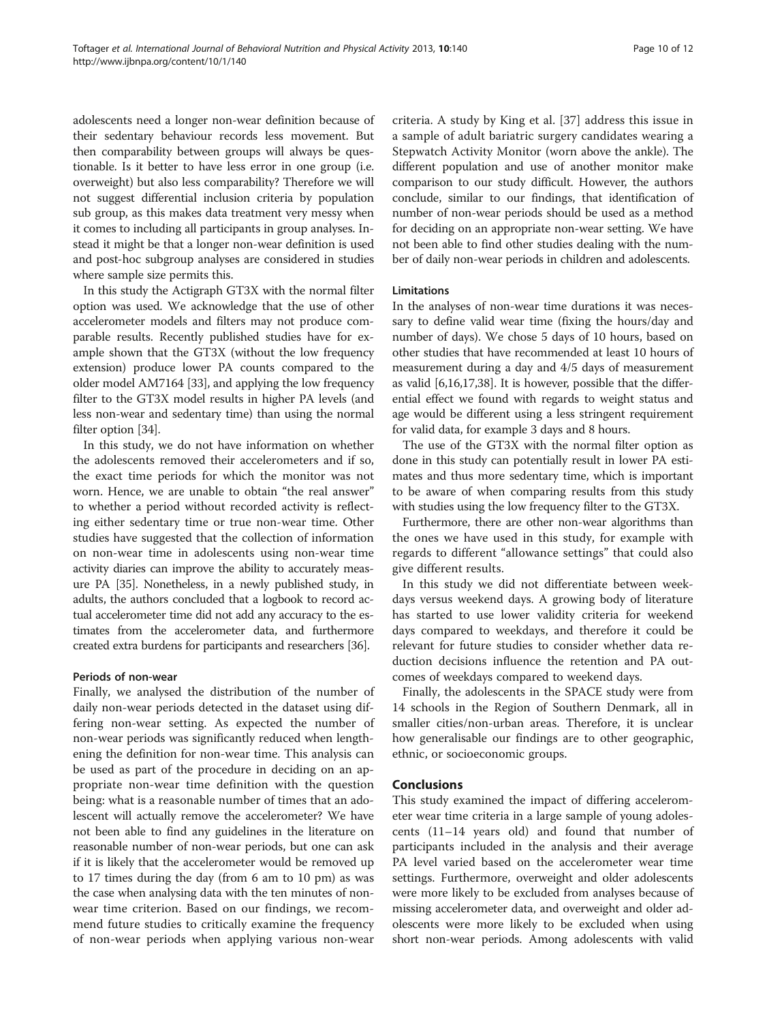adolescents need a longer non-wear definition because of their sedentary behaviour records less movement. But then comparability between groups will always be questionable. Is it better to have less error in one group (i.e. overweight) but also less comparability? Therefore we will not suggest differential inclusion criteria by population sub group, as this makes data treatment very messy when it comes to including all participants in group analyses. Instead it might be that a longer non-wear definition is used and post-hoc subgroup analyses are considered in studies where sample size permits this.

In this study the Actigraph GT3X with the normal filter option was used. We acknowledge that the use of other accelerometer models and filters may not produce comparable results. Recently published studies have for example shown that the GT3X (without the low frequency extension) produce lower PA counts compared to the older model AM7164 [\[33\]](#page-11-0), and applying the low frequency filter to the GT3X model results in higher PA levels (and less non-wear and sedentary time) than using the normal filter option [[34](#page-11-0)].

In this study, we do not have information on whether the adolescents removed their accelerometers and if so, the exact time periods for which the monitor was not worn. Hence, we are unable to obtain "the real answer" to whether a period without recorded activity is reflecting either sedentary time or true non-wear time. Other studies have suggested that the collection of information on non-wear time in adolescents using non-wear time activity diaries can improve the ability to accurately measure PA [[35](#page-11-0)]. Nonetheless, in a newly published study, in adults, the authors concluded that a logbook to record actual accelerometer time did not add any accuracy to the estimates from the accelerometer data, and furthermore created extra burdens for participants and researchers [[36](#page-11-0)].

# Periods of non-wear

Finally, we analysed the distribution of the number of daily non-wear periods detected in the dataset using differing non-wear setting. As expected the number of non-wear periods was significantly reduced when lengthening the definition for non-wear time. This analysis can be used as part of the procedure in deciding on an appropriate non-wear time definition with the question being: what is a reasonable number of times that an adolescent will actually remove the accelerometer? We have not been able to find any guidelines in the literature on reasonable number of non-wear periods, but one can ask if it is likely that the accelerometer would be removed up to 17 times during the day (from 6 am to 10 pm) as was the case when analysing data with the ten minutes of nonwear time criterion. Based on our findings, we recommend future studies to critically examine the frequency of non-wear periods when applying various non-wear

criteria. A study by King et al. [[37\]](#page-11-0) address this issue in a sample of adult bariatric surgery candidates wearing a Stepwatch Activity Monitor (worn above the ankle). The different population and use of another monitor make comparison to our study difficult. However, the authors conclude, similar to our findings, that identification of number of non-wear periods should be used as a method for deciding on an appropriate non-wear setting. We have not been able to find other studies dealing with the number of daily non-wear periods in children and adolescents.

# Limitations

In the analyses of non-wear time durations it was necessary to define valid wear time (fixing the hours/day and number of days). We chose 5 days of 10 hours, based on other studies that have recommended at least 10 hours of measurement during a day and 4/5 days of measurement as valid [[6](#page-10-0),[16,17,](#page-10-0)[38\]](#page-11-0). It is however, possible that the differential effect we found with regards to weight status and age would be different using a less stringent requirement for valid data, for example 3 days and 8 hours.

The use of the GT3X with the normal filter option as done in this study can potentially result in lower PA estimates and thus more sedentary time, which is important to be aware of when comparing results from this study with studies using the low frequency filter to the GT3X.

Furthermore, there are other non-wear algorithms than the ones we have used in this study, for example with regards to different "allowance settings" that could also give different results.

In this study we did not differentiate between weekdays versus weekend days. A growing body of literature has started to use lower validity criteria for weekend days compared to weekdays, and therefore it could be relevant for future studies to consider whether data reduction decisions influence the retention and PA outcomes of weekdays compared to weekend days.

Finally, the adolescents in the SPACE study were from 14 schools in the Region of Southern Denmark, all in smaller cities/non-urban areas. Therefore, it is unclear how generalisable our findings are to other geographic, ethnic, or socioeconomic groups.

# Conclusions

This study examined the impact of differing accelerometer wear time criteria in a large sample of young adolescents (11–14 years old) and found that number of participants included in the analysis and their average PA level varied based on the accelerometer wear time settings. Furthermore, overweight and older adolescents were more likely to be excluded from analyses because of missing accelerometer data, and overweight and older adolescents were more likely to be excluded when using short non-wear periods. Among adolescents with valid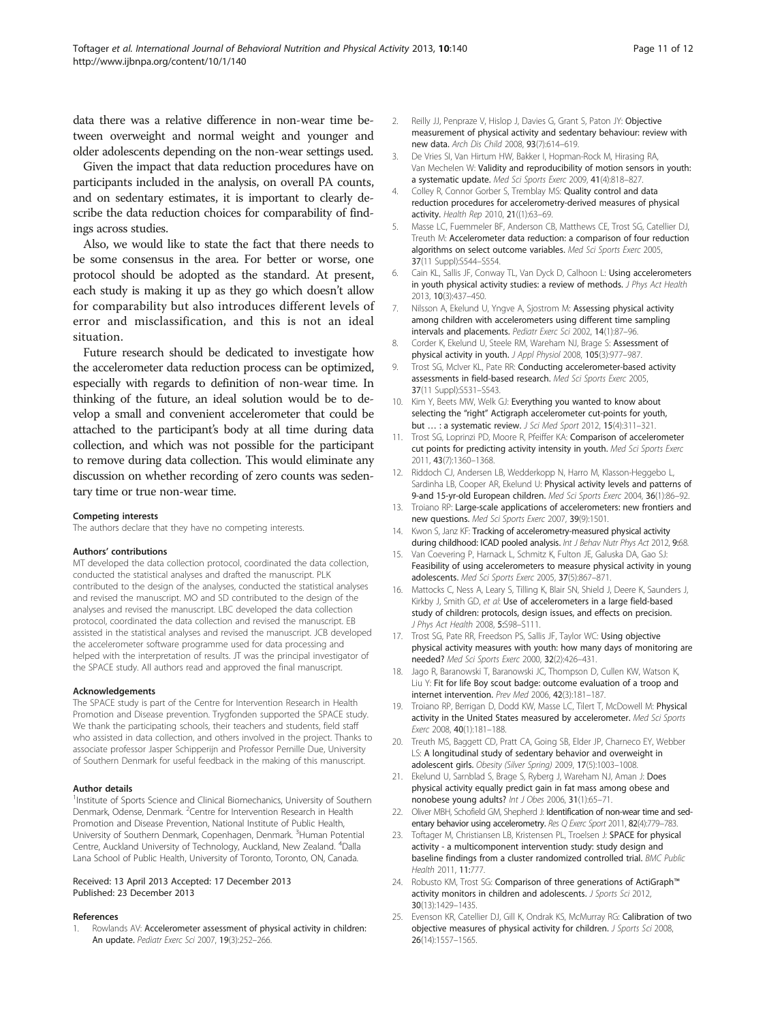<span id="page-10-0"></span>data there was a relative difference in non-wear time between overweight and normal weight and younger and older adolescents depending on the non-wear settings used.

Given the impact that data reduction procedures have on participants included in the analysis, on overall PA counts, and on sedentary estimates, it is important to clearly describe the data reduction choices for comparability of findings across studies.

Also, we would like to state the fact that there needs to be some consensus in the area. For better or worse, one protocol should be adopted as the standard. At present, each study is making it up as they go which doesn't allow for comparability but also introduces different levels of error and misclassification, and this is not an ideal situation.

Future research should be dedicated to investigate how the accelerometer data reduction process can be optimized, especially with regards to definition of non-wear time. In thinking of the future, an ideal solution would be to develop a small and convenient accelerometer that could be attached to the participant's body at all time during data collection, and which was not possible for the participant to remove during data collection. This would eliminate any discussion on whether recording of zero counts was sedentary time or true non-wear time.

#### Competing interests

The authors declare that they have no competing interests.

#### Authors' contributions

MT developed the data collection protocol, coordinated the data collection, conducted the statistical analyses and drafted the manuscript. PLK contributed to the design of the analyses, conducted the statistical analyses and revised the manuscript. MO and SD contributed to the design of the analyses and revised the manuscript. LBC developed the data collection protocol, coordinated the data collection and revised the manuscript. EB assisted in the statistical analyses and revised the manuscript. JCB developed the accelerometer software programme used for data processing and helped with the interpretation of results. JT was the principal investigator of the SPACE study. All authors read and approved the final manuscript.

#### Acknowledgements

The SPACE study is part of the Centre for Intervention Research in Health Promotion and Disease prevention. Trygfonden supported the SPACE study. We thank the participating schools, their teachers and students, field staff who assisted in data collection, and others involved in the project. Thanks to associate professor Jasper Schipperijn and Professor Pernille Due, University of Southern Denmark for useful feedback in the making of this manuscript.

#### Author details

<sup>1</sup>Institute of Sports Science and Clinical Biomechanics, University of Southern Denmark, Odense, Denmark. <sup>2</sup>Centre for Intervention Research in Health Promotion and Disease Prevention, National Institute of Public Health, University of Southern Denmark, Copenhagen, Denmark. <sup>3</sup>Human Potential Centre, Auckland University of Technology, Auckland, New Zealand. <sup>4</sup>Dalla Lana School of Public Health, University of Toronto, Toronto, ON, Canada.

#### Received: 13 April 2013 Accepted: 17 December 2013 Published: 23 December 2013

#### References

Rowlands AV: Accelerometer assessment of physical activity in children: An update. Pediatr Exerc Sci 2007, 19(3):252–266.

- 2. Reilly JJ, Penpraze V, Hislop J, Davies G, Grant S, Paton JY: Objective measurement of physical activity and sedentary behaviour: review with new data. Arch Dis Child 2008, 93(7):614–619.
- 3. De Vries SI, Van Hirtum HW, Bakker I, Hopman-Rock M, Hirasing RA, Van Mechelen W: Validity and reproducibility of motion sensors in youth: a systematic update. Med Sci Sports Exerc 2009, 41(4):818–827.
- 4. Colley R, Connor Gorber S, Tremblay MS: Quality control and data reduction procedures for accelerometry-derived measures of physical activity. Health Rep 2010, 21((1):63–69.
- 5. Masse LC, Fuemmeler BF, Anderson CB, Matthews CE, Trost SG, Catellier DJ, Treuth M: Accelerometer data reduction: a comparison of four reduction algorithms on select outcome variables. Med Sci Sports Exerc 2005, 37(11 Suppl):S544–S554.
- 6. Cain KL, Sallis JF, Conway TL, Van Dyck D, Calhoon L: Using accelerometers in youth physical activity studies: a review of methods. J Phys Act Health 2013, 10(3):437–450.
- 7. Nilsson A, Ekelund U, Yngve A, Sjostrom M: Assessing physical activity among children with accelerometers using different time sampling intervals and placements. Pediatr Exerc Sci 2002, 14(1):87–96.
- 8. Corder K, Ekelund U, Steele RM, Wareham NJ, Brage S: Assessment of physical activity in youth. J Appl Physiol 2008, 105(3):977–987.
- 9. Trost SG, McIver KL, Pate RR: Conducting accelerometer-based activity assessments in field-based research. Med Sci Sports Exerc 2005, 37(11 Suppl):S531–S543.
- 10. Kim Y, Beets MW, Welk GJ: Everything you wanted to know about selecting the "right" Actigraph accelerometer cut-points for youth, but … : a systematic review. J Sci Med Sport 2012, 15(4):311–321.
- 11. Trost SG, Loprinzi PD, Moore R, Pfeiffer KA: Comparison of accelerometer cut points for predicting activity intensity in youth. Med Sci Sports Exerc 2011, 43(7):1360–1368.
- 12. Riddoch CJ, Andersen LB, Wedderkopp N, Harro M, Klasson-Heggebo L, Sardinha LB, Cooper AR, Ekelund U: Physical activity levels and patterns of 9-and 15-yr-old European children. Med Sci Sports Exerc 2004, 36(1):86–92.
- 13. Troiano RP: Large-scale applications of accelerometers: new frontiers and new questions. Med Sci Sports Exerc 2007, 39(9):1501.
- 14. Kwon S, Janz KF: Tracking of accelerometry-measured physical activity during childhood: ICAD pooled analysis. Int J Behav Nutr Phys Act 2012, 9:68.
- 15. Van Coevering P, Harnack L, Schmitz K, Fulton JE, Galuska DA, Gao SJ: Feasibility of using accelerometers to measure physical activity in young adolescents. Med Sci Sports Exerc 2005, 37(5):867–871.
- 16. Mattocks C, Ness A, Leary S, Tilling K, Blair SN, Shield J, Deere K, Saunders J, Kirkby J, Smith GD, et al: Use of accelerometers in a large field-based study of children: protocols, design issues, and effects on precision. J Phys Act Health 2008, 5:S98–S111.
- 17. Trost SG, Pate RR, Freedson PS, Sallis JF, Taylor WC: Using objective physical activity measures with youth: how many days of monitoring are needed? Med Sci Sports Exerc 2000, 32(2):426–431.
- 18. Jago R, Baranowski T, Baranowski JC, Thompson D, Cullen KW, Watson K, Liu Y: Fit for life Boy scout badge: outcome evaluation of a troop and internet intervention. Prev Med 2006, 42(3):181–187.
- 19. Troiano RP, Berrigan D, Dodd KW, Masse LC, Tilert T, McDowell M: Physical activity in the United States measured by accelerometer. Med Sci Sports Exerc 2008, 40(1):181–188.
- 20. Treuth MS, Baggett CD, Pratt CA, Going SB, Elder JP, Charneco EY, Webber LS: A longitudinal study of sedentary behavior and overweight in adolescent girls. Obesity (Silver Spring) 2009, 17(5):1003–1008.
- 21. Ekelund U, Sarnblad S, Brage S, Ryberg J, Wareham NJ, Aman J: Does physical activity equally predict gain in fat mass among obese and nonobese young adults? Int J Obes 2006, 31(1):65–71.
- 22. Oliver MBH, Schofield GM, Shepherd J: Identification of non-wear time and sedentary behavior using accelerometry. Res Q Exerc Sport 2011, 82(4):779-783.
- 23. Toftager M, Christiansen LB, Kristensen PL, Troelsen J: SPACE for physical activity - a multicomponent intervention study: study design and baseline findings from a cluster randomized controlled trial. BMC Public Health 2011, 11:777.
- 24. Robusto KM, Trost SG: Comparison of three generations of ActiGraph™ activity monitors in children and adolescents. J Sports Sci 2012, 30(13):1429–1435.
- 25. Evenson KR, Catellier DJ, Gill K, Ondrak KS, McMurray RG: Calibration of two objective measures of physical activity for children. J Sports Sci 2008, 26(14):1557–1565.